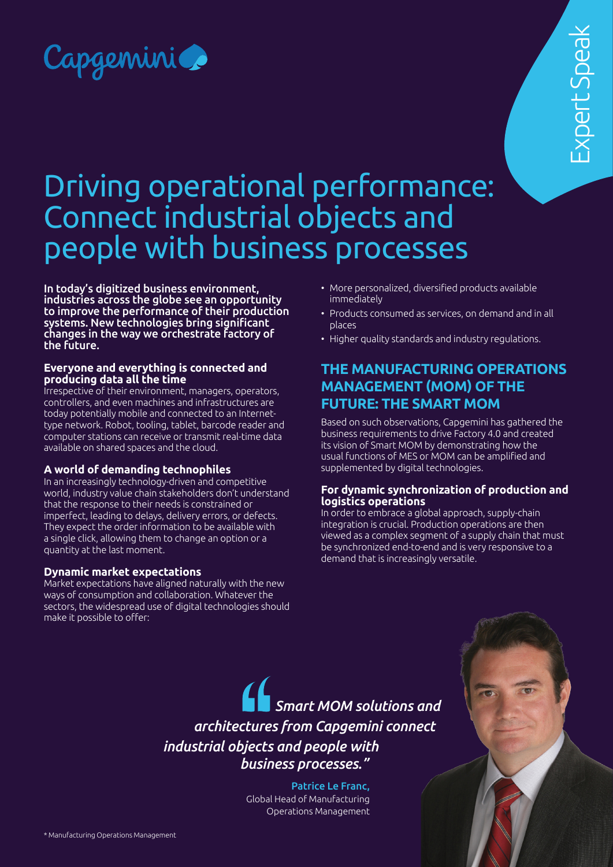

# Driving operational performance: Connect industrial objects and people with business processes

In today's digitized business environment, industries across the globe see an opportunity to improve the performance of their production systems. New technologies bring significant changes in the way we orchestrate factory of the future.

#### **Everyone and everything is connected and producing data all the time**

Irrespective of their environment, managers, operators, controllers, and even machines and infrastructures are today potentially mobile and connected to an Internettype network. Robot, tooling, tablet, barcode reader and computer stations can receive or transmit real-time data available on shared spaces and the cloud.

## **A world of demanding technophiles**

In an increasingly technology-driven and competitive world, industry value chain stakeholders don't understand that the response to their needs is constrained or imperfect, leading to delays, delivery errors, or defects. They expect the order information to be available with a single click, allowing them to change an option or a quantity at the last moment.

## **Dynamic market expectations**

Market expectations have aligned naturally with the new ways of consumption and collaboration. Whatever the sectors, the widespread use of digital technologies should make it possible to offer:

- More personalized, diversified products available immediately
- Products consumed as services, on demand and in all places
- Higher quality standards and industry regulations.

# **THE MANUFACTURING OPERATIONS MANAGEMENT (MOM) OF THE FUTURE: THE SMART MOM**

Based on such observations, Capgemini has gathered the business requirements to drive Factory 4.0 and created its vision of Smart MOM by demonstrating how the usual functions of MES or MOM can be amplified and supplemented by digital technologies.

#### **For dynamic synchronization of production and logistics operations**

In order to embrace a global approach, supply-chain integration is crucial. Production operations are then viewed as a complex segment of a supply chain that must be synchronized end-to-end and is very responsive to a demand that is increasingly versatile.

*Smart MOM solutions and architectures from Capgemini connect industrial objects and people with business processes."*

> Patrice Le Franc, Global Head of Manufacturing Operations Management